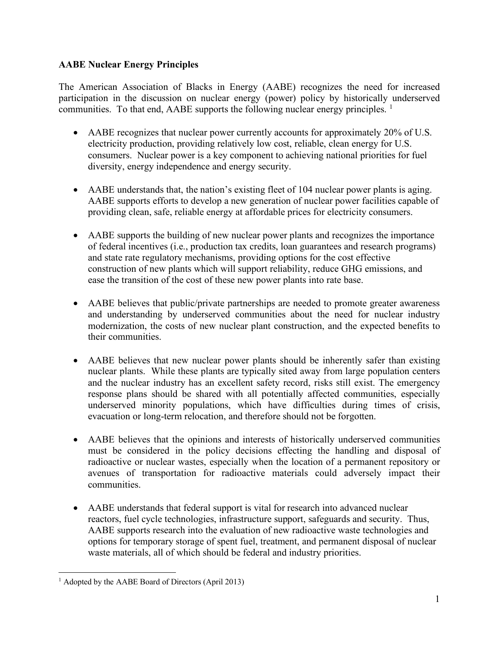## **AABE Nuclear Energy Principles**

The American Association of Blacks in Energy (AABE) recognizes the need for increased participation in the discussion on nuclear energy (power) policy by historically underserved communities. To that end, AABE supports the following nuclear energy principles.  $\frac{1}{1}$  $\frac{1}{1}$  $\frac{1}{1}$ 

- AABE recognizes that nuclear power currently accounts for approximately 20% of U.S. electricity production, providing relatively low cost, reliable, clean energy for U.S. consumers. Nuclear power is a key component to achieving national priorities for fuel diversity, energy independence and energy security.
- AABE understands that, the nation's existing fleet of 104 nuclear power plants is aging. AABE supports efforts to develop a new generation of nuclear power facilities capable of providing clean, safe, reliable energy at affordable prices for electricity consumers.
- AABE supports the building of new nuclear power plants and recognizes the importance of federal incentives (i.e., production tax credits, loan guarantees and research programs) and state rate regulatory mechanisms, providing options for the cost effective construction of new plants which will support reliability, reduce GHG emissions, and ease the transition of the cost of these new power plants into rate base.
- AABE believes that public/private partnerships are needed to promote greater awareness and understanding by underserved communities about the need for nuclear industry modernization, the costs of new nuclear plant construction, and the expected benefits to their communities.
- AABE believes that new nuclear power plants should be inherently safer than existing nuclear plants. While these plants are typically sited away from large population centers and the nuclear industry has an excellent safety record, risks still exist. The emergency response plans should be shared with all potentially affected communities, especially underserved minority populations, which have difficulties during times of crisis, evacuation or long-term relocation, and therefore should not be forgotten.
- AABE believes that the opinions and interests of historically underserved communities must be considered in the policy decisions effecting the handling and disposal of radioactive or nuclear wastes, especially when the location of a permanent repository or avenues of transportation for radioactive materials could adversely impact their communities.
- AABE understands that federal support is vital for research into advanced nuclear reactors, fuel cycle technologies, infrastructure support, safeguards and security. Thus, AABE supports research into the evaluation of new radioactive waste technologies and options for temporary storage of spent fuel, treatment, and permanent disposal of nuclear waste materials, all of which should be federal and industry priorities.

<span id="page-0-0"></span><sup>&</sup>lt;sup>1</sup> Adopted by the AABE Board of Directors (April 2013)